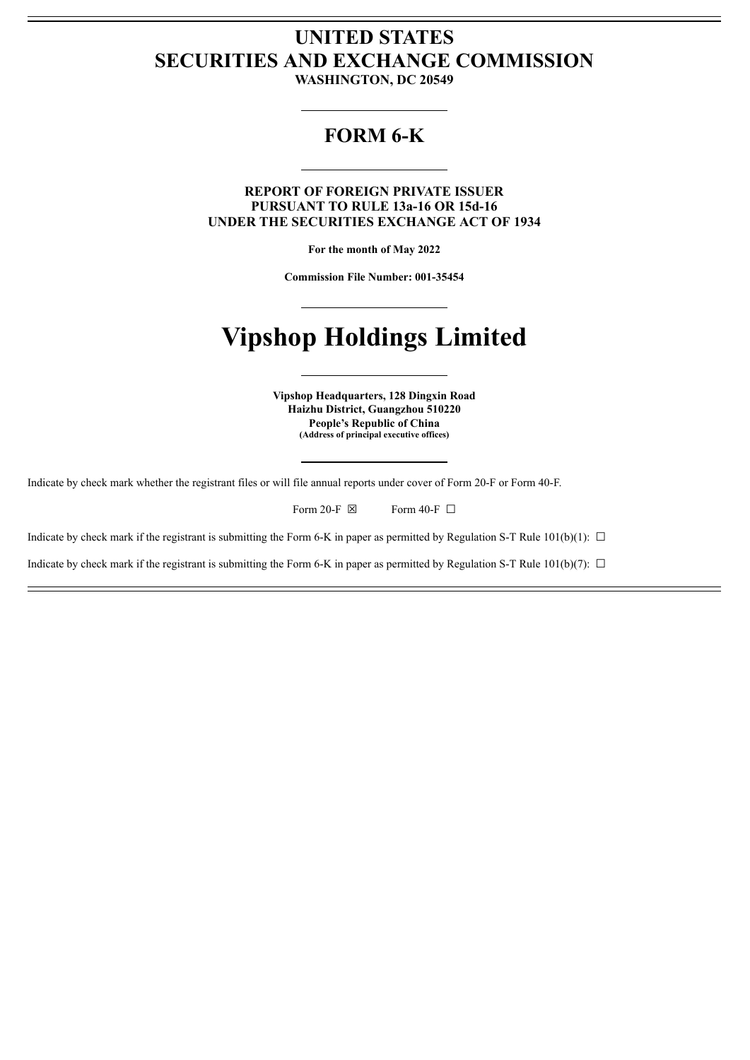# **UNITED STATES SECURITIES AND EXCHANGE COMMISSION**

**WASHINGTON, DC 20549**

# **FORM 6-K**

**REPORT OF FOREIGN PRIVATE ISSUER PURSUANT TO RULE 13a-16 OR 15d-16 UNDER THE SECURITIES EXCHANGE ACT OF 1934**

**For the month of May 2022**

**Commission File Number: 001-35454**

# **Vipshop Holdings Limited**

**Vipshop Headquarters, 128 Dingxin Road Haizhu District, Guangzhou 510220 People's Republic of China (Address of principal executive offices)**

Indicate by check mark whether the registrant files or will file annual reports under cover of Form 20-F or Form 40-F.

Form 20-F  $\boxtimes$  Form 40-F  $\Box$ 

Indicate by check mark if the registrant is submitting the Form 6-K in paper as permitted by Regulation S-T Rule 101(b)(1):  $\Box$ 

Indicate by check mark if the registrant is submitting the Form 6-K in paper as permitted by Regulation S-T Rule 101(b)(7):  $\Box$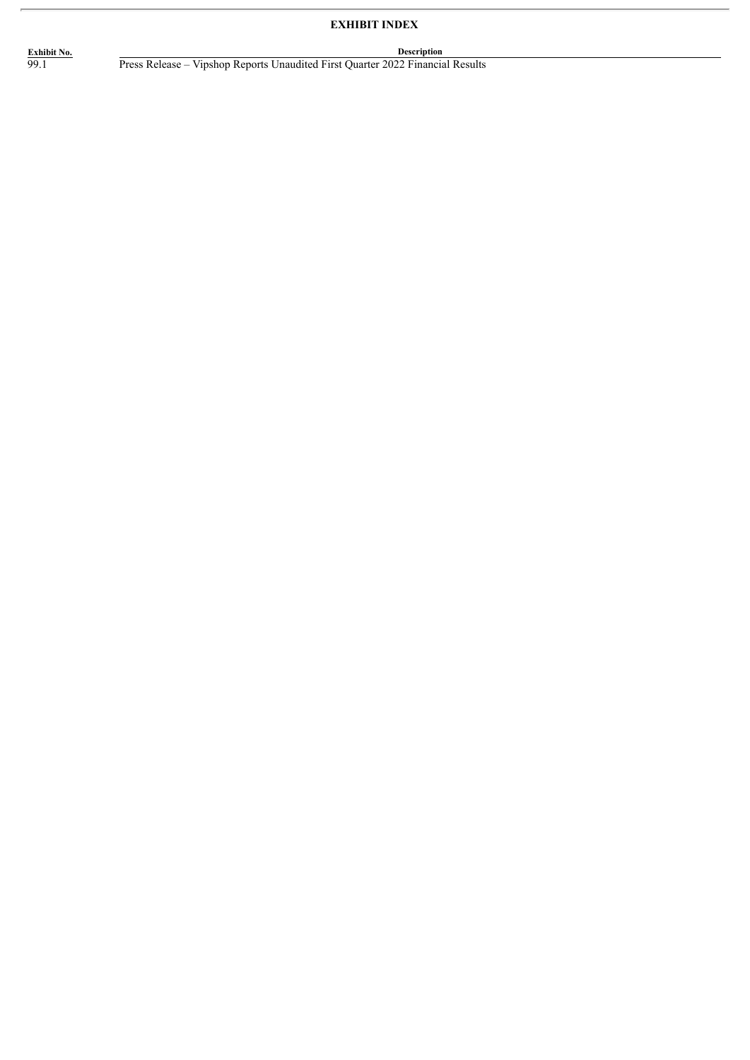# **EXHIBIT INDEX**

# **Exhibit No. Description**

99.1 Press Release – Vipshop Reports Unaudited First Quarter 2022 Financial Results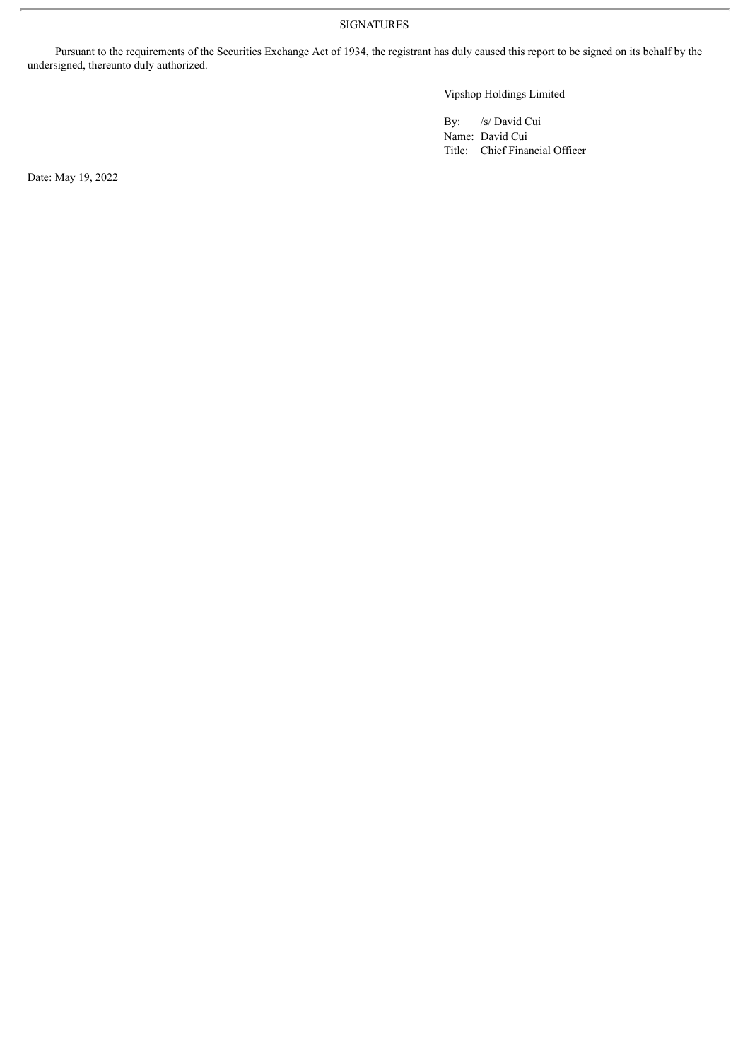SIGNATURES

Pursuant to the requirements of the Securities Exchange Act of 1934, the registrant has duly caused this report to be signed on its behalf by the undersigned, thereunto duly authorized.

Vipshop Holdings Limited

By: /s/ David Cui

Name: David Cui Title: Chief Financial Officer

Date: May 19, 2022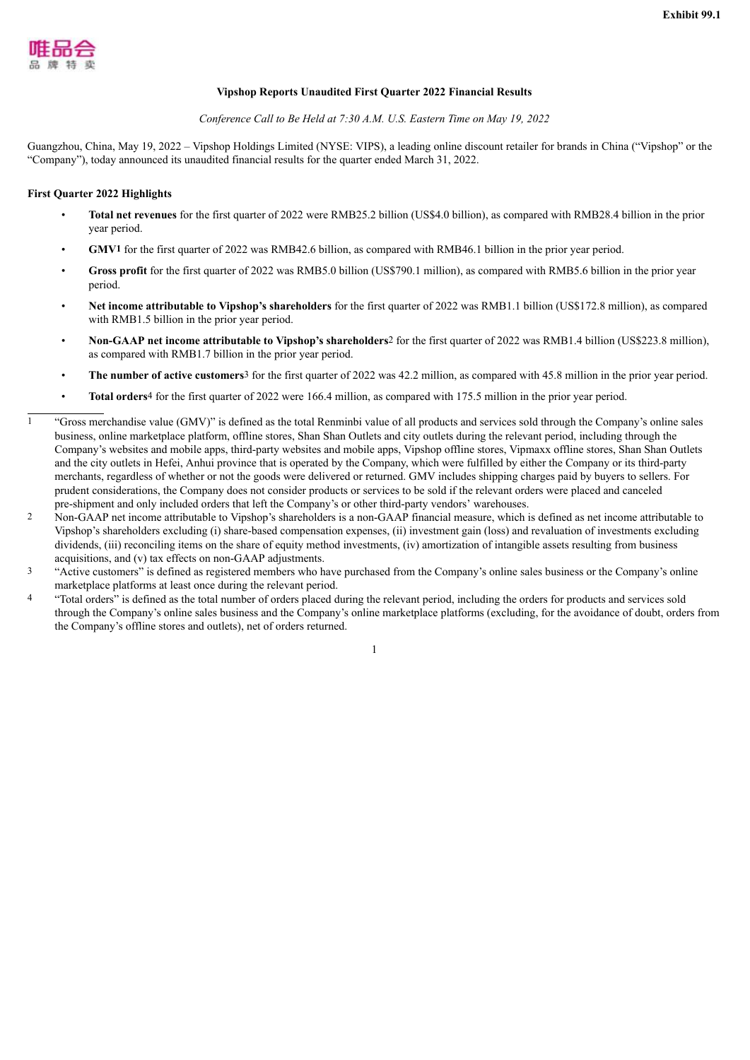

# **Vipshop Reports Unaudited First Quarter 2022 Financial Results**

# *Conference Call to Be Held at 7:30 A.M. U.S. Eastern Time on May 19, 2022*

Guangzhou, China, May 19, 2022 – Vipshop Holdings Limited (NYSE: VIPS), a leading online discount retailer for brands in China ("Vipshop" or the "Company"), today announced its unaudited financial results for the quarter ended March 31, 2022.

# **First Quarter 2022 Highlights**

- **Total net revenues** for the first quarter of 2022 were RMB25.2 billion (US\$4.0 billion), as compared with RMB28.4 billion in the prior year period.
- **GMV1** for the first quarter of 2022 was RMB42.6 billion, as compared with RMB46.1 billion in the prior year period.
- **Gross profit** for the first quarter of 2022 was RMB5.0 billion (US\$790.1 million), as compared with RMB5.6 billion in the prior year period.
- **Net income attributable to Vipshop's shareholders** for the first quarter of 2022 was RMB1.1 billion (US\$172.8 million), as compared with RMB1.5 billion in the prior year period.
- **Non-GAAP net income attributable to Vipshop's shareholders**2 for the first quarter of 2022 was RMB1.4 billion (US\$223.8 million), as compared with RMB1.7 billion in the prior year period.
- **The number of active customers**3 for the first quarter of 2022 was 42.2 million, as compared with 45.8 million in the prior year period.
- **Total orders**4 for the first quarter of 2022 were 166.4 million, as compared with 175.5 million in the prior year period.
- 1 "Gross merchandise value (GMV)" is defined as the total Renminbi value of all products and services sold through the Company's online sales business, online marketplace platform, offline stores, Shan Shan Outlets and city outlets during the relevant period, including through the Company's websites and mobile apps, third-party websites and mobile apps, Vipshop offline stores, Vipmaxx offline stores, Shan Shan Outlets and the city outlets in Hefei, Anhui province that is operated by the Company, which were fulfilled by either the Company or its third-party merchants, regardless of whether or not the goods were delivered or returned. GMV includes shipping charges paid by buyers to sellers. For prudent considerations, the Company does not consider products or services to be sold if the relevant orders were placed and canceled pre-shipment and only included orders that left the Company's or other third-party vendors' warehouses.
- 2 Non-GAAP net income attributable to Vipshop's shareholders is a non-GAAP financial measure, which is defined as net income attributable to Vipshop's shareholders excluding (i) share-based compensation expenses, (ii) investment gain (loss) and revaluation of investments excluding dividends, (iii) reconciling items on the share of equity method investments, (iv) amortization of intangible assets resulting from business acquisitions, and (v) tax effects on non-GAAP adjustments.
- <sup>3</sup> "Active customers" is defined as registered members who have purchased from the Company's online sales business or the Company's online marketplace platforms at least once during the relevant period.
- 4 "Total orders" is defined as the total number of orders placed during the relevant period, including the orders for products and services sold through the Company's online sales business and the Company's online marketplace platforms (excluding, for the avoidance of doubt, orders from the Company's offline stores and outlets), net of orders returned.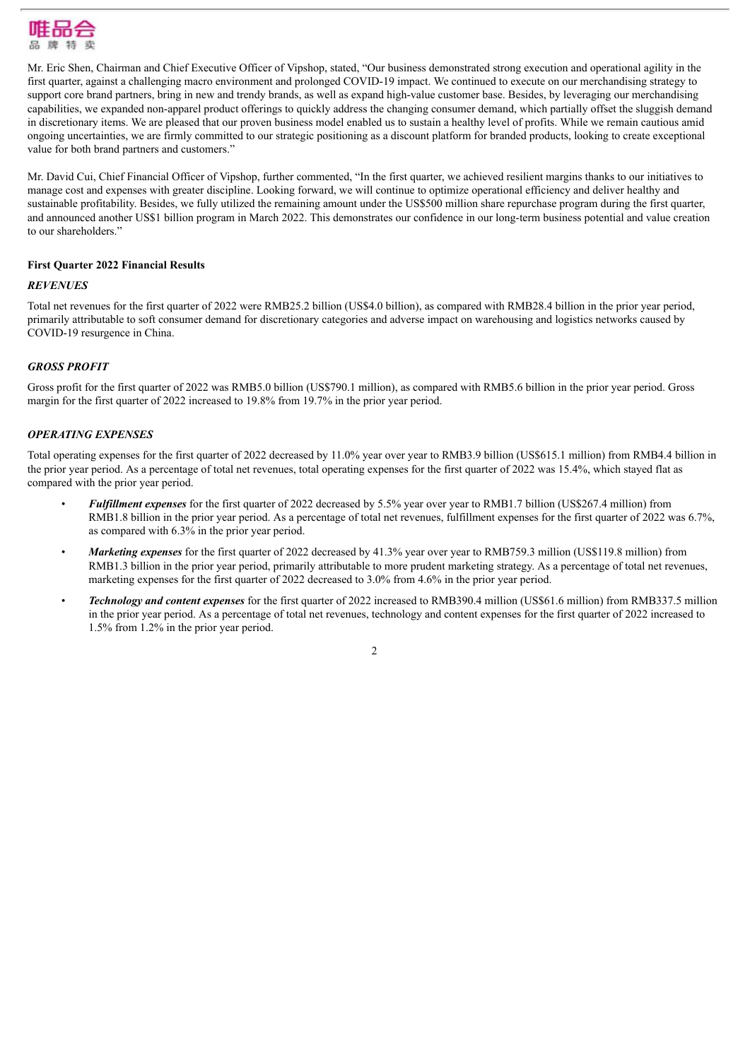

Mr. Eric Shen, Chairman and Chief Executive Officer of Vipshop, stated, "Our business demonstrated strong execution and operational agility in the first quarter, against a challenging macro environment and prolonged COVID-19 impact. We continued to execute on our merchandising strategy to support core brand partners, bring in new and trendy brands, as well as expand high-value customer base. Besides, by leveraging our merchandising capabilities, we expanded non-apparel product offerings to quickly address the changing consumer demand, which partially offset the sluggish demand in discretionary items. We are pleased that our proven business model enabled us to sustain a healthy level of profits. While we remain cautious amid ongoing uncertainties, we are firmly committed to our strategic positioning as a discount platform for branded products, looking to create exceptional value for both brand partners and customers."

Mr. David Cui, Chief Financial Officer of Vipshop, further commented, "In the first quarter, we achieved resilient margins thanks to our initiatives to manage cost and expenses with greater discipline. Looking forward, we will continue to optimize operational efficiency and deliver healthy and sustainable profitability. Besides, we fully utilized the remaining amount under the US\$500 million share repurchase program during the first quarter, and announced another US\$1 billion program in March 2022. This demonstrates our confidence in our long-term business potential and value creation to our shareholders."

## **First Quarter 2022 Financial Results**

# *REVENUES*

Total net revenues for the first quarter of 2022 were RMB25.2 billion (US\$4.0 billion), as compared with RMB28.4 billion in the prior year period, primarily attributable to soft consumer demand for discretionary categories and adverse impact on warehousing and logistics networks caused by COVID-19 resurgence in China.

# *GROSS PROFIT*

Gross profit for the first quarter of 2022 was RMB5.0 billion (US\$790.1 million), as compared with RMB5.6 billion in the prior year period. Gross margin for the first quarter of 2022 increased to 19.8% from 19.7% in the prior year period.

# *OPERATING EXPENSES*

Total operating expenses for the first quarter of 2022 decreased by 11.0% year over year to RMB3.9 billion (US\$615.1 million) from RMB4.4 billion in the prior year period. As a percentage of total net revenues, total operating expenses for the first quarter of 2022 was 15.4%, which stayed flat as compared with the prior year period.

- *Fulfillment expenses* for the first quarter of 2022 decreased by 5.5% year over year to RMB1.7 billion (US\$267.4 million) from RMB1.8 billion in the prior year period. As a percentage of total net revenues, fulfillment expenses for the first quarter of 2022 was 6.7%, as compared with 6.3% in the prior year period.
- *Marketing expenses* for the first quarter of 2022 decreased by 41.3% year over year to RMB759.3 million (US\$119.8 million) from RMB1.3 billion in the prior year period, primarily attributable to more prudent marketing strategy. As a percentage of total net revenues, marketing expenses for the first quarter of 2022 decreased to 3.0% from 4.6% in the prior year period.
- *Technology and content expenses* for the first quarter of 2022 increased to RMB390.4 million (US\$61.6 million) from RMB337.5 million in the prior year period. As a percentage of total net revenues, technology and content expenses for the first quarter of 2022 increased to 1.5% from 1.2% in the prior year period.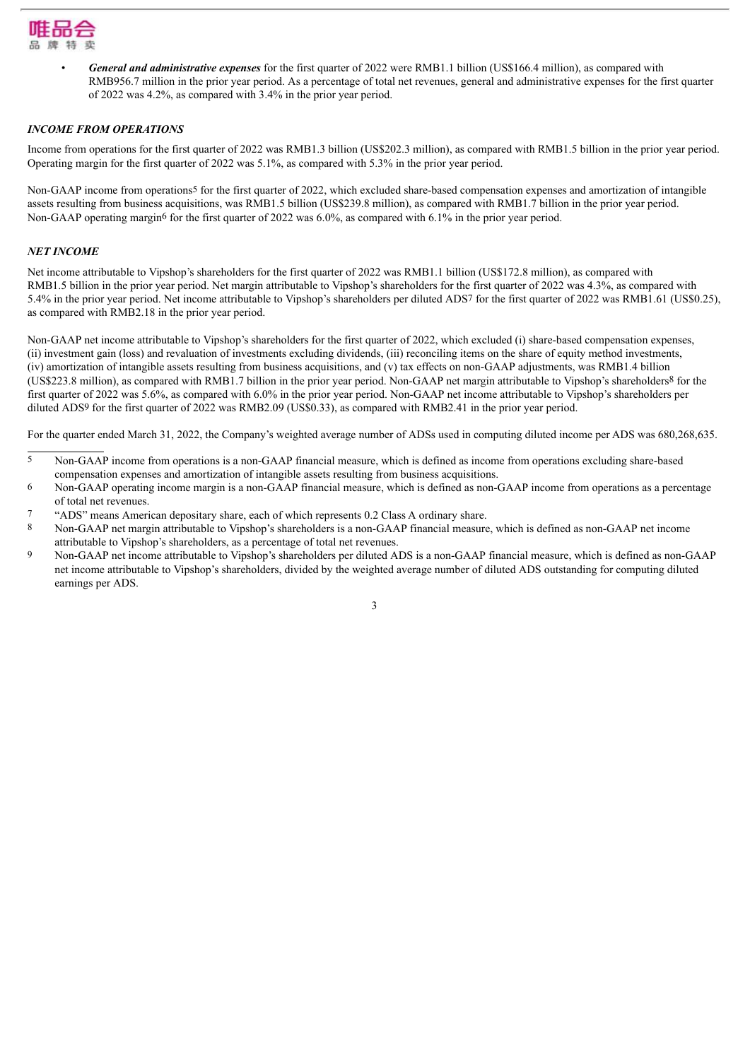

• *General and administrative expenses* for the first quarter of 2022 were RMB1.1 billion (US\$166.4 million), as compared with RMB956.7 million in the prior year period. As a percentage of total net revenues, general and administrative expenses for the first quarter of 2022 was 4.2%, as compared with 3.4% in the prior year period.

# *INCOME FROM OPERATIONS*

Income from operations for the first quarter of 2022 was RMB1.3 billion (US\$202.3 million), as compared with RMB1.5 billion in the prior year period. Operating margin for the first quarter of 2022 was 5.1%, as compared with 5.3% in the prior year period.

Non-GAAP income from operations5 for the first quarter of 2022, which excluded share-based compensation expenses and amortization of intangible assets resulting from business acquisitions, was RMB1.5 billion (US\$239.8 million), as compared with RMB1.7 billion in the prior year period. Non-GAAP operating margin<sup>6</sup> for the first quarter of 2022 was 6.0%, as compared with 6.1% in the prior year period.

# *NET INCOME*

Net income attributable to Vipshop's shareholders for the first quarter of 2022 was RMB1.1 billion (US\$172.8 million), as compared with RMB1.5 billion in the prior year period. Net margin attributable to Vipshop's shareholders for the first quarter of 2022 was 4.3%, as compared with 5.4% in the prior year period. Net income attributable to Vipshop's shareholders per diluted ADS7 for the first quarter of 2022 was RMB1.61 (US\$0.25), as compared with RMB2.18 in the prior year period.

Non-GAAP net income attributable to Vipshop's shareholders for the first quarter of 2022, which excluded (i) share-based compensation expenses, (ii) investment gain (loss) and revaluation of investments excluding dividends, (iii) reconciling items on the share of equity method investments, (iv) amortization of intangible assets resulting from business acquisitions, and (v) tax effects on non-GAAP adjustments, was RMB1.4 billion (US\$223.8 million), as compared with RMB1.7 billion in the prior year period. Non-GAAP net margin attributable to Vipshop's shareholders8 for the first quarter of 2022 was 5.6%, as compared with 6.0% in the prior year period. Non-GAAP net income attributable to Vipshop's shareholders per diluted ADS9 for the first quarter of 2022 was RMB2.09 (US\$0.33), as compared with RMB2.41 in the prior year period.

For the quarter ended March 31, 2022, the Company's weighted average number of ADSs used in computing diluted income per ADS was 680,268,635.

- 5 Non-GAAP income from operations is a non-GAAP financial measure, which is defined as income from operations excluding share-based compensation expenses and amortization of intangible assets resulting from business acquisitions.
- 6 Non-GAAP operating income margin is a non-GAAP financial measure, which is defined as non-GAAP income from operations as a percentage of total net revenues.
- "ADS" means American depositary share, each of which represents 0.2 Class A ordinary share.
- 8 Non-GAAP net margin attributable to Vipshop's shareholders is a non-GAAP financial measure, which is defined as non-GAAP net income attributable to Vipshop's shareholders, as a percentage of total net revenues.
- 9 Non-GAAP net income attributable to Vipshop's shareholders per diluted ADS is a non-GAAP financial measure, which is defined as non-GAAP net income attributable to Vipshop's shareholders, divided by the weighted average number of diluted ADS outstanding for computing diluted earnings per ADS.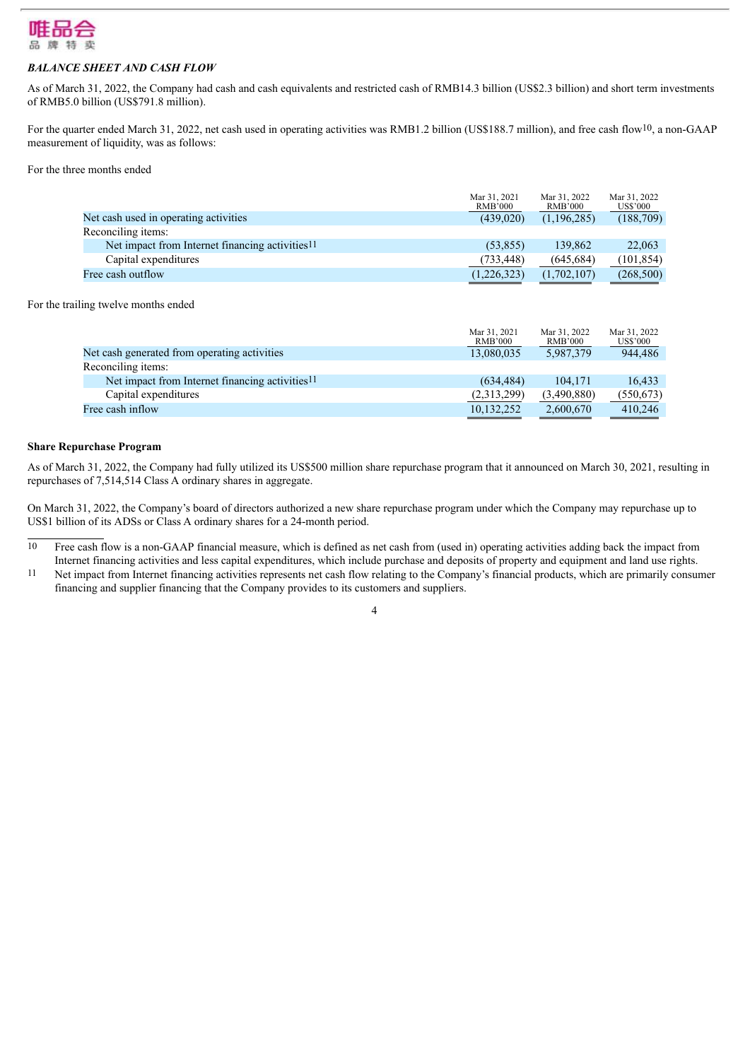

# *BALANCE SHEET AND CASH FLOW*

As of March 31, 2022, the Company had cash and cash equivalents and restricted cash of RMB14.3 billion (US\$2.3 billion) and short term investments of RMB5.0 billion (US\$791.8 million).

For the quarter ended March 31, 2022, net cash used in operating activities was RMB1.2 billion (US\$188.7 million), and free cash flow<sup>10</sup>, a non-GAAP measurement of liquidity, was as follows:

For the three months ended

|                                                             | Mar 31, 2021<br>RMB'000 | Mar 31, 2022<br>RMB'000 | Mar 31, 2022<br>US\$'000 |
|-------------------------------------------------------------|-------------------------|-------------------------|--------------------------|
| Net cash used in operating activities                       | (439.020)               | (1,196,285)             | (188,709)                |
| Reconciling items:                                          |                         |                         |                          |
| Net impact from Internet financing activities <sup>11</sup> | (53, 855)               | 139,862                 | 22,063                   |
| Capital expenditures                                        | (733, 448)              | (645.684)               | (101, 854)               |
| Free cash outflow                                           | (1,226,323)             | (1,702,107)             | (268,500)                |

### For the trailing twelve months ended

|                                                             | Mar 31, 2021<br>RMB'000 | Mar 31, 2022<br>RMB'000 | Mar 31, 2022<br>US\$'000 |
|-------------------------------------------------------------|-------------------------|-------------------------|--------------------------|
| Net cash generated from operating activities                | 13,080,035              | 5,987,379               | 944.486                  |
| Reconciling items:                                          |                         |                         |                          |
| Net impact from Internet financing activities <sup>11</sup> | (634.484)               | 104.171                 | 16.433                   |
| Capital expenditures                                        | (2,313,299)             | (3,490,880)             | (550, 673)               |
| Free cash inflow                                            | 10,132,252              | 2,600,670               | 410.246                  |

# **Share Repurchase Program**

As of March 31, 2022, the Company had fully utilized its US\$500 million share repurchase program that it announced on March 30, 2021, resulting in repurchases of 7,514,514 Class A ordinary shares in aggregate.

On March 31, 2022, the Company's board of directors authorized a new share repurchase program under which the Company may repurchase up to US\$1 billion of its ADSs or Class A ordinary shares for a 24-month period.

10 Free cash flow is a non-GAAP financial measure, which is defined as net cash from (used in) operating activities adding back the impact from Internet financing activities and less capital expenditures, which include purchase and deposits of property and equipment and land use rights.

11 Net impact from Internet financing activities represents net cash flow relating to the Company's financial products, which are primarily consumer financing and supplier financing that the Company provides to its customers and suppliers.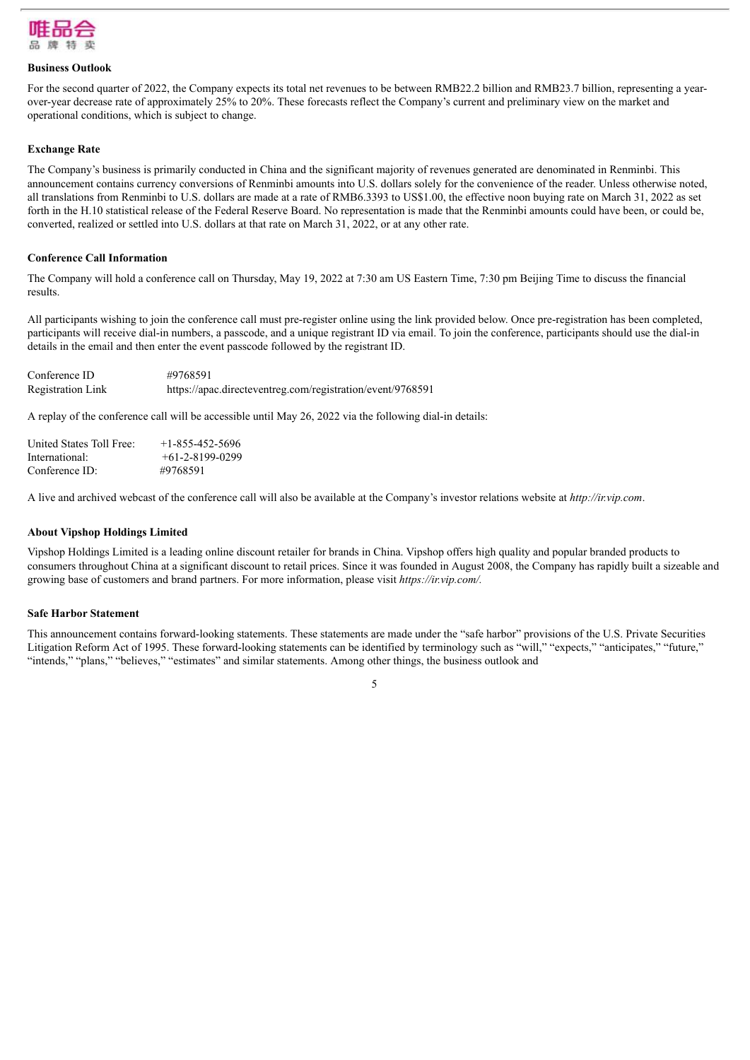

#### **Business Outlook**

For the second quarter of 2022, the Company expects its total net revenues to be between RMB22.2 billion and RMB23.7 billion, representing a yearover-year decrease rate of approximately 25% to 20%. These forecasts reflect the Company's current and preliminary view on the market and operational conditions, which is subject to change.

#### **Exchange Rate**

The Company's business is primarily conducted in China and the significant majority of revenues generated are denominated in Renminbi. This announcement contains currency conversions of Renminbi amounts into U.S. dollars solely for the convenience of the reader. Unless otherwise noted, all translations from Renminbi to U.S. dollars are made at a rate of RMB6.3393 to US\$1.00, the effective noon buying rate on March 31, 2022 as set forth in the H.10 statistical release of the Federal Reserve Board. No representation is made that the Renminbi amounts could have been, or could be, converted, realized or settled into U.S. dollars at that rate on March 31, 2022, or at any other rate.

# **Conference Call Information**

The Company will hold a conference call on Thursday, May 19, 2022 at 7:30 am US Eastern Time, 7:30 pm Beijing Time to discuss the financial results.

All participants wishing to join the conference call must pre-register online using the link provided below. Once pre-registration has been completed, participants will receive dial-in numbers, a passcode, and a unique registrant ID via email. To join the conference, participants should use the dial-in details in the email and then enter the event passcode followed by the registrant ID.

 $Conf$ erence ID  $\#9768591$ Registration Link https://apac.directeventreg.com/registration/event/9768591

A replay of the conference call will be accessible until May 26, 2022 via the following dial-in details:

| United States Toll Free: | $+1-855-452-5696$ |
|--------------------------|-------------------|
| International:           | $+61-2-8199-0299$ |
| $Conference$ ID:         | #9768591          |

A live and archived webcast of the conference call will also be available at the Company's investor relations website at *http://ir.vip.com*.

### **About Vipshop Holdings Limited**

Vipshop Holdings Limited is a leading online discount retailer for brands in China. Vipshop offers high quality and popular branded products to consumers throughout China at a significant discount to retail prices. Since it was founded in August 2008, the Company has rapidly built a sizeable and growing base of customers and brand partners. For more information, please visit *https://ir.vip.com/.*

#### **Safe Harbor Statement**

This announcement contains forward-looking statements. These statements are made under the "safe harbor" provisions of the U.S. Private Securities Litigation Reform Act of 1995. These forward-looking statements can be identified by terminology such as "will," "expects," "anticipates," "future," "intends," "plans," "believes," "estimates" and similar statements. Among other things, the business outlook and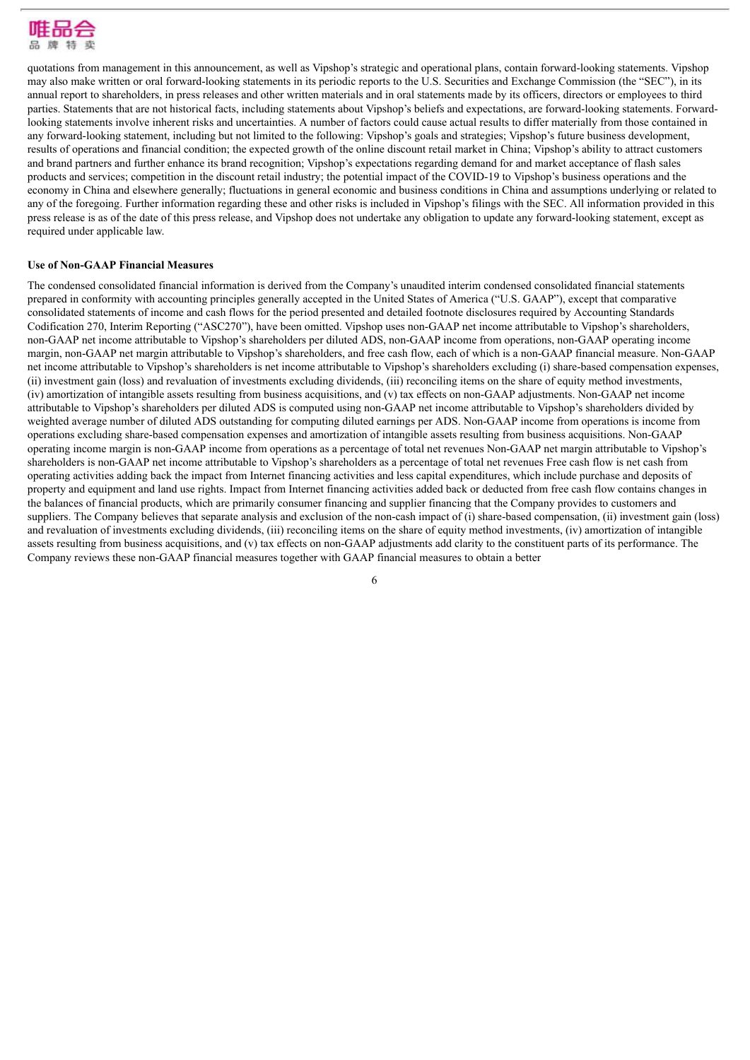

quotations from management in this announcement, as well as Vipshop's strategic and operational plans, contain forward-looking statements. Vipshop may also make written or oral forward-looking statements in its periodic reports to the U.S. Securities and Exchange Commission (the "SEC"), in its annual report to shareholders, in press releases and other written materials and in oral statements made by its officers, directors or employees to third parties. Statements that are not historical facts, including statements about Vipshop's beliefs and expectations, are forward-looking statements. Forwardlooking statements involve inherent risks and uncertainties. A number of factors could cause actual results to differ materially from those contained in any forward-looking statement, including but not limited to the following: Vipshop's goals and strategies; Vipshop's future business development, results of operations and financial condition; the expected growth of the online discount retail market in China; Vipshop's ability to attract customers and brand partners and further enhance its brand recognition; Vipshop's expectations regarding demand for and market acceptance of flash sales products and services; competition in the discount retail industry; the potential impact of the COVID-19 to Vipshop's business operations and the economy in China and elsewhere generally; fluctuations in general economic and business conditions in China and assumptions underlying or related to any of the foregoing. Further information regarding these and other risks is included in Vipshop's filings with the SEC. All information provided in this press release is as of the date of this press release, and Vipshop does not undertake any obligation to update any forward-looking statement, except as required under applicable law.

# **Use of Non-GAAP Financial Measures**

The condensed consolidated financial information is derived from the Company's unaudited interim condensed consolidated financial statements prepared in conformity with accounting principles generally accepted in the United States of America ("U.S. GAAP"), except that comparative consolidated statements of income and cash flows for the period presented and detailed footnote disclosures required by Accounting Standards Codification 270, Interim Reporting ("ASC270"), have been omitted. Vipshop uses non-GAAP net income attributable to Vipshop's shareholders, non-GAAP net income attributable to Vipshop's shareholders per diluted ADS, non-GAAP income from operations, non-GAAP operating income margin, non-GAAP net margin attributable to Vipshop's shareholders, and free cash flow, each of which is a non-GAAP financial measure. Non-GAAP net income attributable to Vipshop's shareholders is net income attributable to Vipshop's shareholders excluding (i) share-based compensation expenses, (ii) investment gain (loss) and revaluation of investments excluding dividends, (iii) reconciling items on the share of equity method investments, (iv) amortization of intangible assets resulting from business acquisitions, and (v) tax effects on non-GAAP adjustments. Non-GAAP net income attributable to Vipshop's shareholders per diluted ADS is computed using non-GAAP net income attributable to Vipshop's shareholders divided by weighted average number of diluted ADS outstanding for computing diluted earnings per ADS. Non-GAAP income from operations is income from operations excluding share-based compensation expenses and amortization of intangible assets resulting from business acquisitions. Non-GAAP operating income margin is non-GAAP income from operations as a percentage of total net revenues Non-GAAP net margin attributable to Vipshop's shareholders is non-GAAP net income attributable to Vipshop's shareholders as a percentage of total net revenues Free cash flow is net cash from operating activities adding back the impact from Internet financing activities and less capital expenditures, which include purchase and deposits of property and equipment and land use rights. Impact from Internet financing activities added back or deducted from free cash flow contains changes in the balances of financial products, which are primarily consumer financing and supplier financing that the Company provides to customers and suppliers. The Company believes that separate analysis and exclusion of the non-cash impact of (i) share-based compensation, (ii) investment gain (loss) and revaluation of investments excluding dividends, (iii) reconciling items on the share of equity method investments, (iv) amortization of intangible assets resulting from business acquisitions, and (v) tax effects on non-GAAP adjustments add clarity to the constituent parts of its performance. The Company reviews these non-GAAP financial measures together with GAAP financial measures to obtain a better

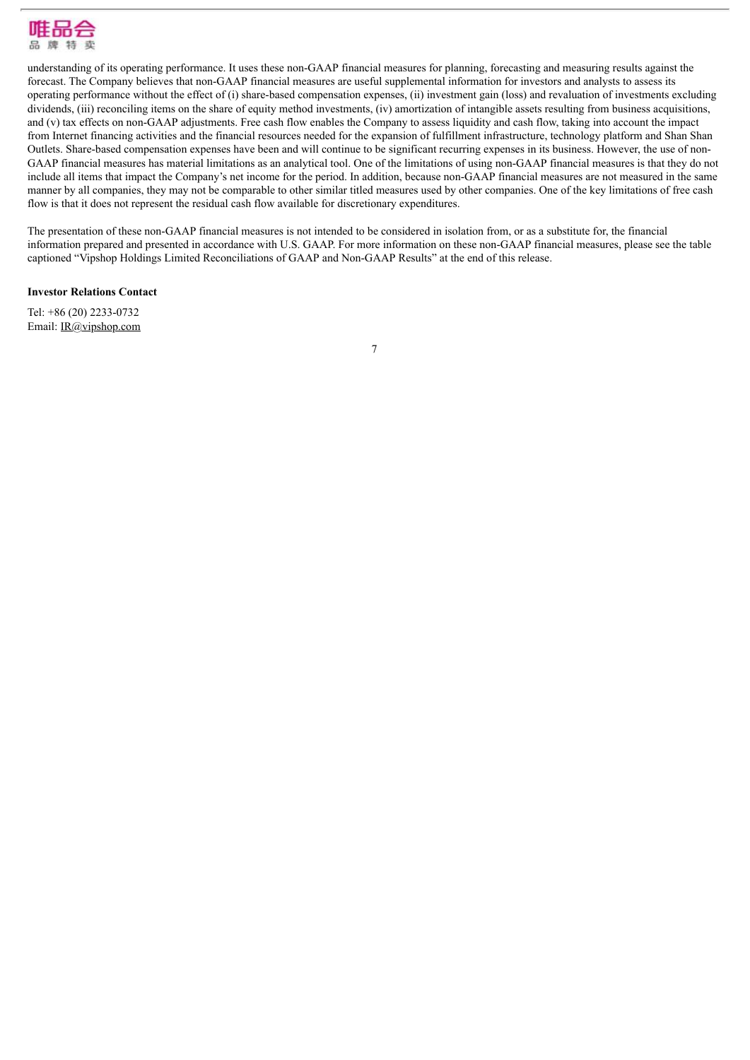

understanding of its operating performance. It uses these non-GAAP financial measures for planning, forecasting and measuring results against the forecast. The Company believes that non-GAAP financial measures are useful supplemental information for investors and analysts to assess its operating performance without the effect of (i) share-based compensation expenses, (ii) investment gain (loss) and revaluation of investments excluding dividends, (iii) reconciling items on the share of equity method investments, (iv) amortization of intangible assets resulting from business acquisitions, and (v) tax effects on non-GAAP adjustments. Free cash flow enables the Company to assess liquidity and cash flow, taking into account the impact from Internet financing activities and the financial resources needed for the expansion of fulfillment infrastructure, technology platform and Shan Shan Outlets. Share-based compensation expenses have been and will continue to be significant recurring expenses in its business. However, the use of non-GAAP financial measures has material limitations as an analytical tool. One of the limitations of using non-GAAP financial measures is that they do not include all items that impact the Company's net income for the period. In addition, because non-GAAP financial measures are not measured in the same manner by all companies, they may not be comparable to other similar titled measures used by other companies. One of the key limitations of free cash flow is that it does not represent the residual cash flow available for discretionary expenditures.

The presentation of these non-GAAP financial measures is not intended to be considered in isolation from, or as a substitute for, the financial information prepared and presented in accordance with U.S. GAAP. For more information on these non-GAAP financial measures, please see the table captioned "Vipshop Holdings Limited Reconciliations of GAAP and Non-GAAP Results" at the end of this release.

### **Investor Relations Contact**

Tel: +86 (20) 2233-0732 Email: IR@vipshop.com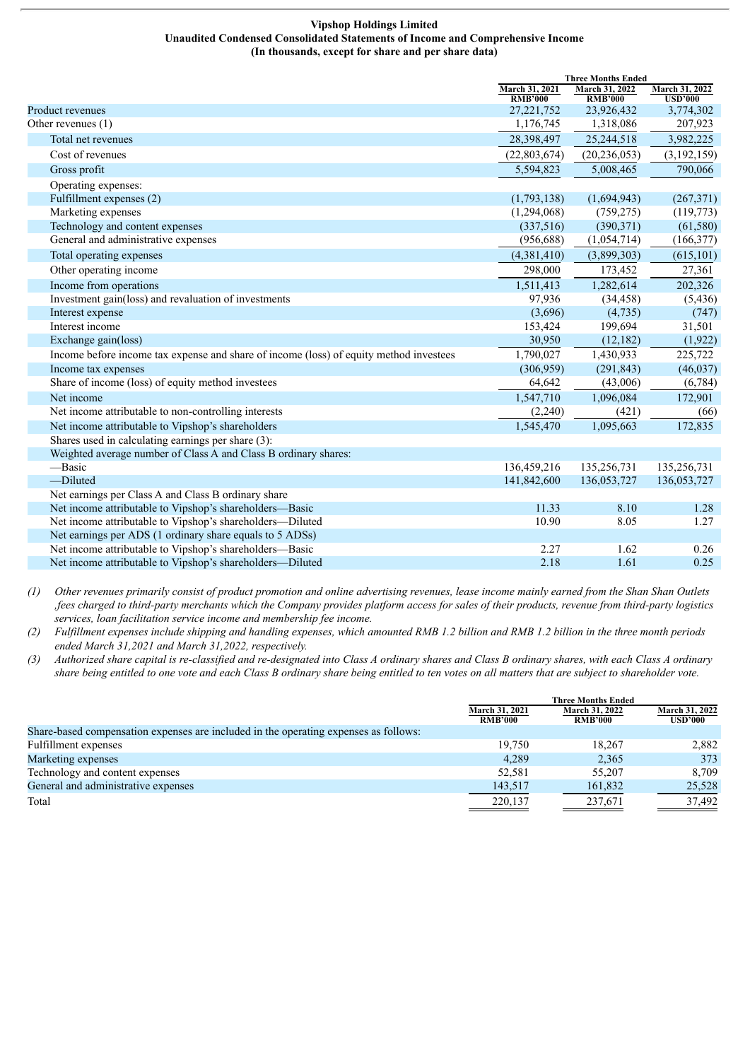# **Vipshop Holdings Limited Unaudited Condensed Consolidated Statements of Income and Comprehensive Income (In thousands, except for share and per share data)**

|                                                                                        | <b>Three Months Ended</b>      |                              |                             |
|----------------------------------------------------------------------------------------|--------------------------------|------------------------------|-----------------------------|
|                                                                                        | March 31, 2021                 | March 31, 2022               | March 31, 2022              |
| Product revenues                                                                       | <b>RMB'000</b><br>27, 221, 752 | <b>RMB'000</b><br>23,926,432 | <b>USD'000</b><br>3,774,302 |
| Other revenues (1)                                                                     | 1,176,745                      | 1,318,086                    | 207,923                     |
| Total net revenues                                                                     | 28,398,497                     | 25,244,518                   | 3,982,225                   |
| Cost of revenues                                                                       | (22,803,674)                   | (20, 236, 053)               | (3,192,159)                 |
| Gross profit                                                                           | 5,594,823                      | 5,008,465                    | 790,066                     |
| Operating expenses:                                                                    |                                |                              |                             |
| Fulfillment expenses (2)                                                               | (1,793,138)                    | (1,694,943)                  | (267,371)                   |
| Marketing expenses                                                                     | (1,294,068)                    | (759, 275)                   | (119, 773)                  |
| Technology and content expenses                                                        | (337,516)                      | (390, 371)                   | (61,580)                    |
| General and administrative expenses                                                    | (956, 688)                     | (1,054,714)                  | (166, 377)                  |
| Total operating expenses                                                               | (4,381,410)                    | (3,899,303)                  | (615, 101)                  |
| Other operating income                                                                 | 298,000                        | 173,452                      | 27,361                      |
| Income from operations                                                                 | 1,511,413                      | 1,282,614                    | 202,326                     |
| Investment gain(loss) and revaluation of investments                                   | 97,936                         | (34, 458)                    | (5, 436)                    |
| Interest expense                                                                       | (3,696)                        | (4,735)                      | (747)                       |
| Interest income                                                                        | 153,424                        | 199,694                      | 31,501                      |
| Exchange gain(loss)                                                                    | 30,950                         | (12, 182)                    | (1,922)                     |
| Income before income tax expense and share of income (loss) of equity method investees | 1,790,027                      | 1,430,933                    | 225,722                     |
| Income tax expenses                                                                    | (306,959)                      | (291, 843)                   | (46, 037)                   |
| Share of income (loss) of equity method investees                                      | 64,642                         | (43,006)                     | (6,784)                     |
| Net income                                                                             | 1,547,710                      | 1,096,084                    | 172,901                     |
| Net income attributable to non-controlling interests                                   | (2,240)                        | (421)                        | (66)                        |
| Net income attributable to Vipshop's shareholders                                      | 1,545,470                      | 1,095,663                    | 172,835                     |
| Shares used in calculating earnings per share (3):                                     |                                |                              |                             |
| Weighted average number of Class A and Class B ordinary shares:                        |                                |                              |                             |
| -Basic                                                                                 | 136,459,216                    | 135,256,731                  | 135,256,731                 |
| -Diluted                                                                               | 141,842,600                    | 136,053,727                  | 136,053,727                 |
| Net earnings per Class A and Class B ordinary share                                    |                                |                              |                             |
| Net income attributable to Vipshop's shareholders-Basic                                | 11.33                          | 8.10                         | 1.28                        |
| Net income attributable to Vipshop's shareholders-Diluted                              | 10.90                          | 8.05                         | 1.27                        |
| Net earnings per ADS (1 ordinary share equals to 5 ADSs)                               |                                |                              |                             |
| Net income attributable to Vipshop's shareholders-Basic                                | 2.27                           | 1.62                         | 0.26                        |
| Net income attributable to Vipshop's shareholders—Diluted                              | 2.18                           | 1.61                         | 0.25                        |

(1) Other revenues primarily consist of product promotion and online advertising revenues, lease income mainly earned from the Shan Shan Outlets fees charged to third-party merchants which the Company provides platform access for sales of their products, revenue from third-party logistics *services, loan facilitation service income and membership fee income.*

(2) Fulfillment expenses include shipping and handling expenses, which amounted RMB 1.2 billion and RMB 1.2 billion in the three month periods *ended March 31,2021 and March 31,2022, respectively.*

(3) Authorized share capital is re-classified and re-designated into Class A ordinary shares and Class B ordinary shares, with each Class A ordinary share being entitled to one vote and each Class B ordinary share being entitled to ten votes on all matters that are subject to shareholder vote.

|                                                                                      | <b>Three Months Ended</b>               |                                  |                                         |
|--------------------------------------------------------------------------------------|-----------------------------------------|----------------------------------|-----------------------------------------|
|                                                                                      | <b>March 31, 2021</b><br><b>RMB'000</b> | March 31, 2022<br><b>RMB'000</b> | <b>March 31, 2022</b><br><b>USD'000</b> |
| Share-based compensation expenses are included in the operating expenses as follows: |                                         |                                  |                                         |
| Fulfillment expenses                                                                 | 19.750                                  | 18.267                           | 2,882                                   |
| Marketing expenses                                                                   | 4.289                                   | 2,365                            | 373                                     |
| Technology and content expenses                                                      | 52.581                                  | 55,207                           | 8.709                                   |
| General and administrative expenses                                                  | 143,517                                 | 161,832                          | 25,528                                  |
| Total                                                                                | 220,137                                 | 237,671                          | 37,492                                  |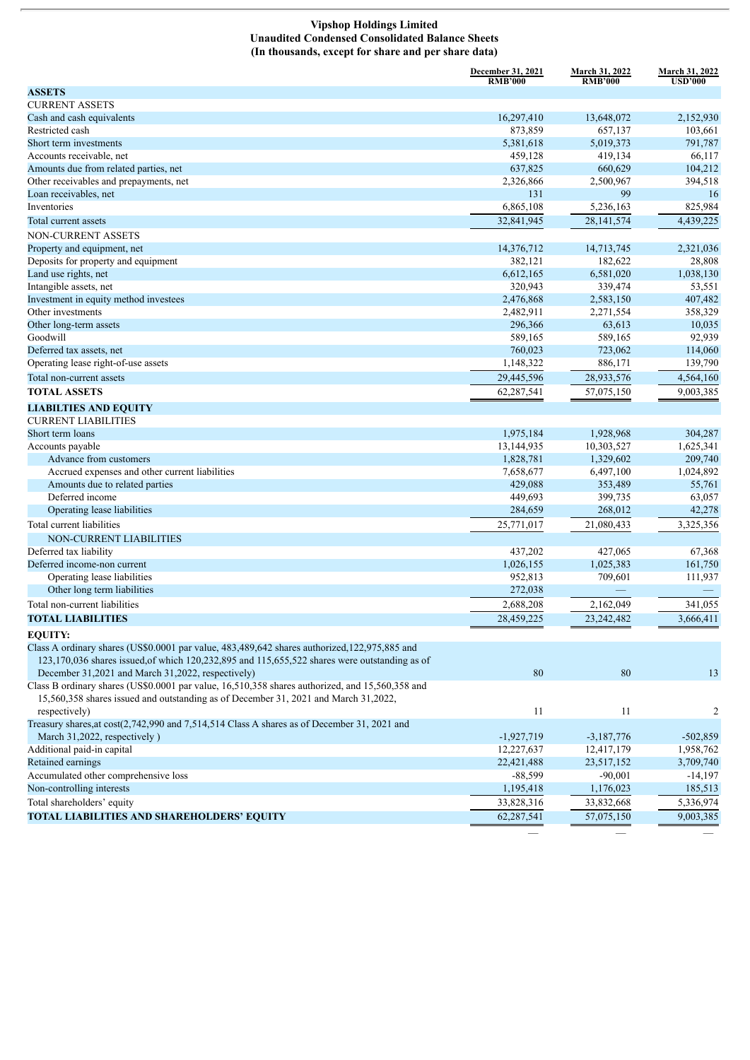# **Vipshop Holdings Limited Unaudited Condensed Consolidated Balance Sheets (In thousands, except for share and per share data)**

|                                                                                                                                                                                                | December 31, 2021<br><b>RMB'000</b> | March 31, 2022<br><b>RMB'000</b> | March 31, 2022<br><b>USD'000</b> |
|------------------------------------------------------------------------------------------------------------------------------------------------------------------------------------------------|-------------------------------------|----------------------------------|----------------------------------|
| <b>ASSETS</b>                                                                                                                                                                                  |                                     |                                  |                                  |
| <b>CURRENT ASSETS</b>                                                                                                                                                                          |                                     |                                  |                                  |
| Cash and cash equivalents                                                                                                                                                                      | 16,297,410                          | 13,648,072                       | 2,152,930                        |
| Restricted cash                                                                                                                                                                                | 873,859                             | 657,137                          | 103,661                          |
| Short term investments                                                                                                                                                                         | 5,381,618                           | 5,019,373                        | 791,787                          |
| Accounts receivable, net                                                                                                                                                                       | 459,128                             | 419,134                          | 66,117                           |
| Amounts due from related parties, net                                                                                                                                                          | 637,825                             | 660,629                          | 104,212                          |
| Other receivables and prepayments, net                                                                                                                                                         | 2,326,866                           | 2,500,967                        | 394,518                          |
| Loan receivables, net                                                                                                                                                                          | 131                                 | 99                               | 16                               |
| Inventories                                                                                                                                                                                    | 6,865,108                           | 5,236,163                        | 825,984                          |
| Total current assets                                                                                                                                                                           | 32,841,945                          | 28,141,574                       | 4,439,225                        |
| <b>NON-CURRENT ASSETS</b>                                                                                                                                                                      |                                     |                                  |                                  |
| Property and equipment, net                                                                                                                                                                    | 14,376,712                          | 14,713,745                       | 2,321,036                        |
| Deposits for property and equipment                                                                                                                                                            | 382,121                             | 182,622                          | 28,808                           |
| Land use rights, net                                                                                                                                                                           | 6,612,165                           | 6,581,020                        | 1,038,130                        |
| Intangible assets, net                                                                                                                                                                         | 320,943                             | 339,474                          | 53,551                           |
| Investment in equity method investees                                                                                                                                                          | 2,476,868                           | 2,583,150                        | 407,482                          |
| Other investments                                                                                                                                                                              | 2,482,911                           | 2,271,554                        | 358,329                          |
| Other long-term assets                                                                                                                                                                         | 296,366                             | 63,613                           | 10,035                           |
| Goodwill                                                                                                                                                                                       | 589,165                             | 589,165                          | 92,939                           |
| Deferred tax assets, net                                                                                                                                                                       | 760,023                             | 723,062                          | 114,060                          |
| Operating lease right-of-use assets                                                                                                                                                            | 1,148,322                           | 886,171                          | 139,790                          |
| Total non-current assets                                                                                                                                                                       | 29,445,596                          | 28,933,576                       | 4,564,160                        |
| <b>TOTAL ASSETS</b>                                                                                                                                                                            | 62,287,541                          | 57,075,150                       | 9,003,385                        |
| LIABILTIES AND EQUITY                                                                                                                                                                          |                                     |                                  |                                  |
| <b>CURRENT LIABILITIES</b>                                                                                                                                                                     |                                     |                                  |                                  |
| Short term loans                                                                                                                                                                               | 1,975,184                           | 1,928,968                        | 304,287                          |
| Accounts payable                                                                                                                                                                               | 13,144,935                          | 10,303,527                       | 1,625,341                        |
| Advance from customers                                                                                                                                                                         | 1,828,781                           | 1,329,602                        | 209,740                          |
| Accrued expenses and other current liabilities                                                                                                                                                 | 7,658,677                           | 6,497,100                        | 1,024,892                        |
| Amounts due to related parties                                                                                                                                                                 | 429,088                             | 353,489                          | 55,761                           |
| Deferred income                                                                                                                                                                                | 449,693                             | 399,735                          | 63,057                           |
| Operating lease liabilities                                                                                                                                                                    | 284,659                             | 268,012                          | 42,278                           |
| Total current liabilities                                                                                                                                                                      | 25,771,017                          | 21,080,433                       | 3,325,356                        |
| NON-CURRENT LIABILITIES                                                                                                                                                                        |                                     |                                  |                                  |
| Deferred tax liability                                                                                                                                                                         | 437,202                             | 427,065                          | 67,368                           |
| Deferred income-non current                                                                                                                                                                    | 1,026,155                           | 1,025,383                        | 161,750                          |
| Operating lease liabilities                                                                                                                                                                    | 952,813                             | 709,601                          | 111,937                          |
| Other long term liabilities                                                                                                                                                                    | 272,038                             |                                  |                                  |
| Total non-current liabilities                                                                                                                                                                  | 2,688,208                           | 2,162,049                        | 341,055                          |
| <b>TOTAL LIABILITIES</b>                                                                                                                                                                       | 28,459,225                          | 23,242,482                       | 3,666,411                        |
| <b>EQUITY:</b>                                                                                                                                                                                 |                                     |                                  |                                  |
| Class A ordinary shares (US\$0.0001 par value, 483,489,642 shares authorized, 122,975,885 and<br>123,170,036 shares issued, of which 120,232,895 and 115,655,522 shares were outstanding as of |                                     |                                  |                                  |
| December 31,2021 and March 31,2022, respectively)                                                                                                                                              | 80                                  | 80                               | 13                               |
| Class B ordinary shares (US\$0.0001 par value, 16,510,358 shares authorized, and 15,560,358 and<br>15,560,358 shares issued and outstanding as of December 31, 2021 and March 31,2022,         |                                     |                                  |                                  |
| respectively)                                                                                                                                                                                  | 11                                  | 11                               | 2                                |
| Treasury shares, at cost(2,742,990 and 7,514,514 Class A shares as of December 31, 2021 and<br>March 31,2022, respectively)                                                                    | $-1,927,719$                        | $-3,187,776$                     | $-502,859$                       |
| Additional paid-in capital                                                                                                                                                                     | 12,227,637                          | 12,417,179                       | 1,958,762                        |
| Retained earnings                                                                                                                                                                              | 22,421,488                          | 23,517,152                       | 3,709,740                        |
| Accumulated other comprehensive loss                                                                                                                                                           | $-88,599$                           | $-90,001$                        | $-14,197$                        |
| Non-controlling interests                                                                                                                                                                      | 1,195,418                           | 1,176,023                        | 185,513                          |
| Total shareholders' equity                                                                                                                                                                     | 33,828,316                          | 33,832,668                       | 5,336,974                        |
| TOTAL LIABILITIES AND SHAREHOLDERS' EQUITY                                                                                                                                                     | 62,287,541                          | 57,075,150                       | 9,003,385                        |
|                                                                                                                                                                                                |                                     |                                  |                                  |
|                                                                                                                                                                                                |                                     |                                  |                                  |